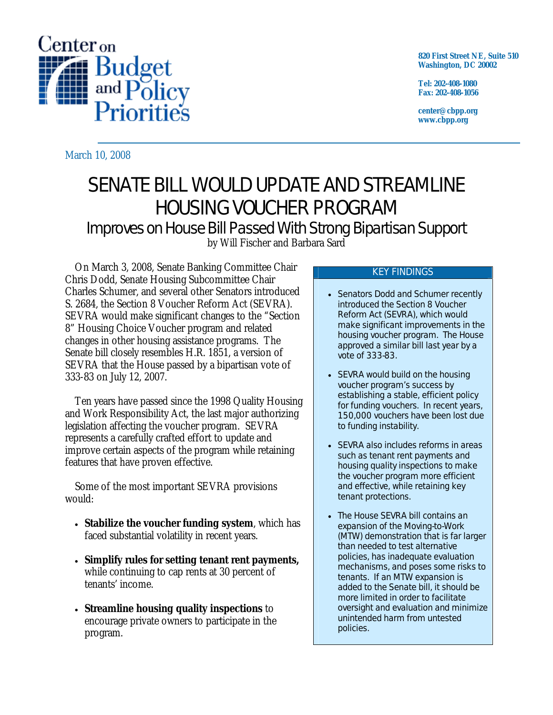

**820 First Street NE, Suite 510 Washington, DC 20002** 

**Tel: 202-408-1080 Fax: 202-408-1056** 

**center@cbpp.org www.cbpp.org** 

March 10, 2008

# SENATE BILL WOULD UPDATE AND STREAMLINE HOUSING VOUCHER PROGRAM

Improves on House Bill Passed With Strong Bipartisan Support

by Will Fischer and Barbara Sard

On March 3, 2008, Senate Banking Committee Chair Chris Dodd, Senate Housing Subcommittee Chair Charles Schumer, and several other Senators introduced S. 2684, the Section 8 Voucher Reform Act (SEVRA). SEVRA would make significant changes to the "Section 8" Housing Choice Voucher program and related changes in other housing assistance programs. The Senate bill closely resembles H.R. 1851, a version of SEVRA that the House passed by a bipartisan vote of 333-83 on July 12, 2007.

Ten years have passed since the 1998 Quality Housing and Work Responsibility Act, the last major authorizing legislation affecting the voucher program. SEVRA represents a carefully crafted effort to update and improve certain aspects of the program while retaining features that have proven effective.

Some of the most important SEVRA provisions would:

- **Stabilize the voucher funding system**, which has faced substantial volatility in recent years.
- **Simplify rules for setting tenant rent payments,** while continuing to cap rents at 30 percent of tenants' income.
- **Streamline housing quality inspections** to encourage private owners to participate in the program.

# KEY FINDINGS

- Senators Dodd and Schumer recently introduced the Section 8 Voucher Reform Act (SEVRA), which would make significant improvements in the housing voucher program. The House approved a similar bill last year by a vote of 333-83.
- SEVRA would build on the housing voucher program's success by establishing a stable, efficient policy for funding vouchers. In recent years, 150,000 vouchers have been lost due to funding instability.
- SEVRA also includes reforms in areas such as tenant rent payments and housing quality inspections to make the voucher program more efficient and effective, while retaining key tenant protections.
- The House SEVRA bill contains an expansion of the Moving-to-Work (MTW) demonstration that is far larger than needed to test alternative policies, has inadequate evaluation mechanisms, and poses some risks to tenants. If an MTW expansion is added to the Senate bill, it should be more limited in order to facilitate oversight and evaluation and minimize unintended harm from untested policies.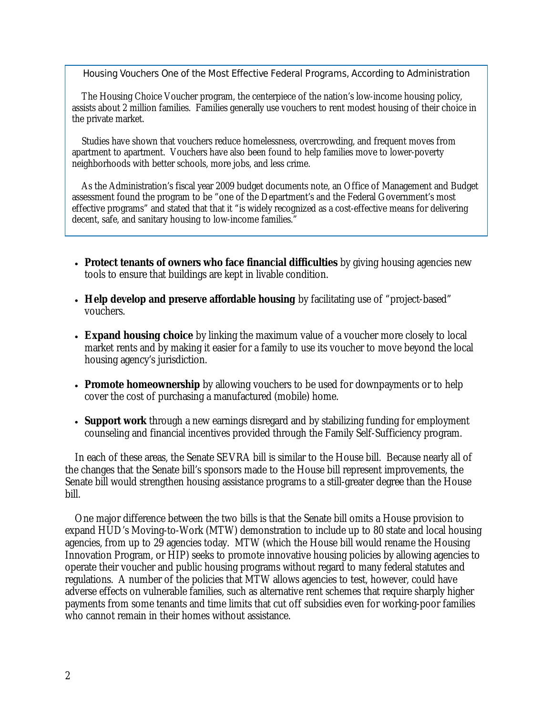# Housing Vouchers One of the Most Effective Federal Programs, According to Administration

 The Housing Choice Voucher program, the centerpiece of the nation's low-income housing policy, assists about 2 million families. Families generally use vouchers to rent modest housing of their choice in the private market.

 Studies have shown that vouchers reduce homelessness, overcrowding, and frequent moves from apartment to apartment. Vouchers have also been found to help families move to lower-poverty neighborhoods with better schools, more jobs, and less crime.

 As the Administration's fiscal year 2009 budget documents note, an Office of Management and Budget assessment found the program to be "one of the Department's and the Federal Government's most effective programs" and stated that that it "is widely recognized as a cost-effective means for delivering decent, safe, and sanitary housing to low-income families."

- **Protect tenants of owners who face financial difficulties** by giving housing agencies new tools to ensure that buildings are kept in livable condition.
- **Help develop and preserve affordable housing** by facilitating use of "project-based" vouchers.
- **Expand housing choice** by linking the maximum value of a voucher more closely to local market rents and by making it easier for a family to use its voucher to move beyond the local housing agency's jurisdiction.
- **Promote homeownership** by allowing vouchers to be used for downpayments or to help cover the cost of purchasing a manufactured (mobile) home.
- **Support work** through a new earnings disregard and by stabilizing funding for employment counseling and financial incentives provided through the Family Self-Sufficiency program.

In each of these areas, the Senate SEVRA bill is similar to the House bill. Because nearly all of the changes that the Senate bill's sponsors made to the House bill represent improvements, the Senate bill would strengthen housing assistance programs to a still-greater degree than the House bill.

One major difference between the two bills is that the Senate bill omits a House provision to expand HUD's Moving-to-Work (MTW) demonstration to include up to 80 state and local housing agencies, from up to 29 agencies today. MTW (which the House bill would rename the Housing Innovation Program, or HIP) seeks to promote innovative housing policies by allowing agencies to operate their voucher and public housing programs without regard to many federal statutes and regulations. A number of the policies that MTW allows agencies to test, however, could have adverse effects on vulnerable families, such as alternative rent schemes that require sharply higher payments from some tenants and time limits that cut off subsidies even for working-poor families who cannot remain in their homes without assistance.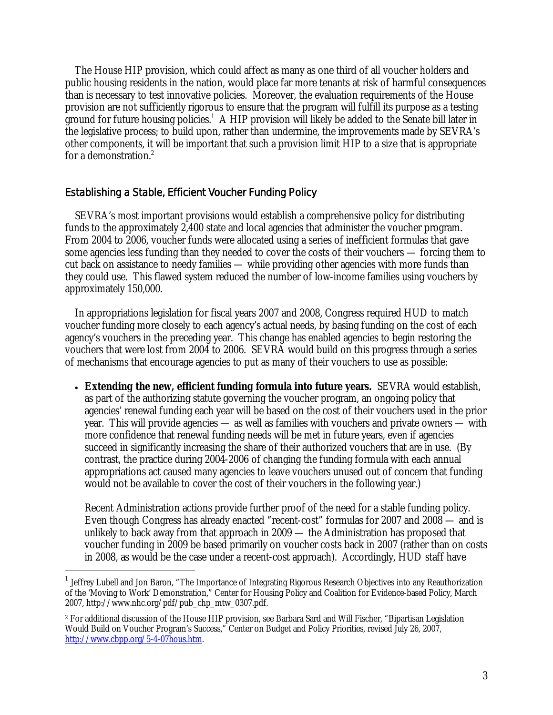The House HIP provision, which could affect as many as one third of all voucher holders and public housing residents in the nation, would place far more tenants at risk of harmful consequences than is necessary to test innovative policies. Moreover, the evaluation requirements of the House provision are not sufficiently rigorous to ensure that the program will fulfill its purpose as a testing ground for future housing policies.<sup>1</sup> A HIP provision will likely be added to the Senate bill later in the legislative process; to build upon, rather than undermine, the improvements made by SEVRA's other components, it will be important that such a provision limit HIP to a size that is appropriate for a demonstration.<sup>2</sup>

# Establishing a Stable, Efficient Voucher Funding Policy

 $\overline{a}$ 

SEVRA's most important provisions would establish a comprehensive policy for distributing funds to the approximately 2,400 state and local agencies that administer the voucher program. From 2004 to 2006, voucher funds were allocated using a series of inefficient formulas that gave some agencies less funding than they needed to cover the costs of their vouchers — forcing them to cut back on assistance to needy families — while providing other agencies with more funds than they could use. This flawed system reduced the number of low-income families using vouchers by approximately 150,000.

In appropriations legislation for fiscal years 2007 and 2008, Congress required HUD to match voucher funding more closely to each agency's actual needs, by basing funding on the cost of each agency's vouchers in the preceding year. This change has enabled agencies to begin restoring the vouchers that were lost from 2004 to 2006. SEVRA would build on this progress through a series of mechanisms that encourage agencies to put as many of their vouchers to use as possible:

• **Extending the new, efficient funding formula into future years.** SEVRA would establish, as part of the authorizing statute governing the voucher program, an ongoing policy that agencies' renewal funding each year will be based on the cost of their vouchers used in the prior year. This will provide agencies — as well as families with vouchers and private owners — with more confidence that renewal funding needs will be met in future years, even if agencies succeed in significantly increasing the share of their authorized vouchers that are in use. (By contrast, the practice during 2004-2006 of changing the funding formula with each annual appropriations act caused many agencies to leave vouchers unused out of concern that funding would not be available to cover the cost of their vouchers in the following year.)

Recent Administration actions provide further proof of the need for a stable funding policy. Even though Congress has already enacted "recent-cost" formulas for 2007 and 2008 — and is unlikely to back away from that approach in 2009 — the Administration has proposed that voucher funding in 2009 be based primarily on voucher costs back in 2007 (rather than on costs in 2008, as would be the case under a recent-cost approach). Accordingly, HUD staff have

<sup>&</sup>lt;sup>1</sup> Jeffrey Lubell and Jon Baron, "The Importance of Integrating Rigorous Research Objectives into any Reauthorization of the 'Moving to Work' Demonstration," Center for Housing Policy and Coalition for Evidence-based Policy, March 2007, http://www.nhc.org/pdf/pub\_chp\_mtw\_0307.pdf.

<sup>2</sup> For additional discussion of the House HIP provision, see Barbara Sard and Will Fischer, "Bipartisan Legislation Would Build on Voucher Program's Success," Center on Budget and Policy Priorities, revised July 26, 2007, http://www.cbpp.org/5-4-07hous.htm.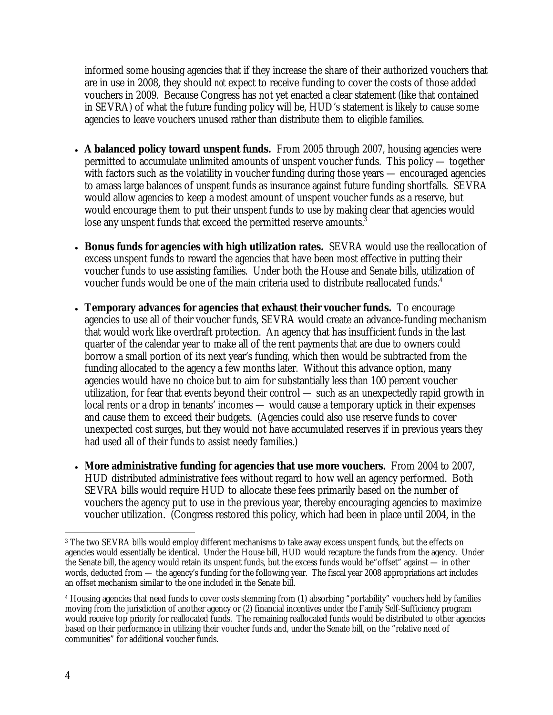informed some housing agencies that if they increase the share of their authorized vouchers that are in use in 2008, they should *not* expect to receive funding to cover the costs of those added vouchers in 2009. Because Congress has not yet enacted a clear statement (like that contained in SEVRA) of what the future funding policy will be, HUD's statement is likely to cause some agencies to leave vouchers unused rather than distribute them to eligible families.

- **A balanced policy toward unspent funds.** From 2005 through 2007, housing agencies were permitted to accumulate unlimited amounts of unspent voucher funds. This policy — together with factors such as the volatility in voucher funding during those years — encouraged agencies to amass large balances of unspent funds as insurance against future funding shortfalls. SEVRA would allow agencies to keep a modest amount of unspent voucher funds as a reserve, but would encourage them to put their unspent funds to use by making clear that agencies would lose any unspent funds that exceed the permitted reserve amounts.<sup>3</sup>
- **Bonus funds for agencies with high utilization rates.** SEVRA would use the reallocation of excess unspent funds to reward the agencies that have been most effective in putting their voucher funds to use assisting families. Under both the House and Senate bills, utilization of voucher funds would be one of the main criteria used to distribute reallocated funds.<sup>4</sup>
- **Temporary advances for agencies that exhaust their voucher funds.** To encourage agencies to use all of their voucher funds, SEVRA would create an advance-funding mechanism that would work like overdraft protection. An agency that has insufficient funds in the last quarter of the calendar year to make all of the rent payments that are due to owners could borrow a small portion of its next year's funding, which then would be subtracted from the funding allocated to the agency a few months later. Without this advance option, many agencies would have no choice but to aim for substantially less than 100 percent voucher utilization, for fear that events beyond their control — such as an unexpectedly rapid growth in local rents or a drop in tenants' incomes — would cause a temporary uptick in their expenses and cause them to exceed their budgets. (Agencies could also use reserve funds to cover unexpected cost surges, but they would not have accumulated reserves if in previous years they had used all of their funds to assist needy families.)
- **More administrative funding for agencies that use more vouchers.** From 2004 to 2007, HUD distributed administrative fees without regard to how well an agency performed. Both SEVRA bills would require HUD to allocate these fees primarily based on the number of vouchers the agency put to use in the previous year, thereby encouraging agencies to maximize voucher utilization. (Congress restored this policy, which had been in place until 2004, in the

 $\overline{a}$ 3 The two SEVRA bills would employ different mechanisms to take away excess unspent funds, but the effects on agencies would essentially be identical. Under the House bill, HUD would recapture the funds from the agency. Under the Senate bill, the agency would retain its unspent funds, but the excess funds would be"offset" against — in other words, deducted from — the agency's funding for the following year. The fiscal year 2008 appropriations act includes an offset mechanism similar to the one included in the Senate bill.

<sup>&</sup>lt;sup>4</sup> Housing agencies that need funds to cover costs stemming from (1) absorbing "portability" vouchers held by families moving from the jurisdiction of another agency or (2) financial incentives under the Family Self-Sufficiency program would receive top priority for reallocated funds. The remaining reallocated funds would be distributed to other agencies based on their performance in utilizing their voucher funds and, under the Senate bill, on the "relative need of communities" for additional voucher funds.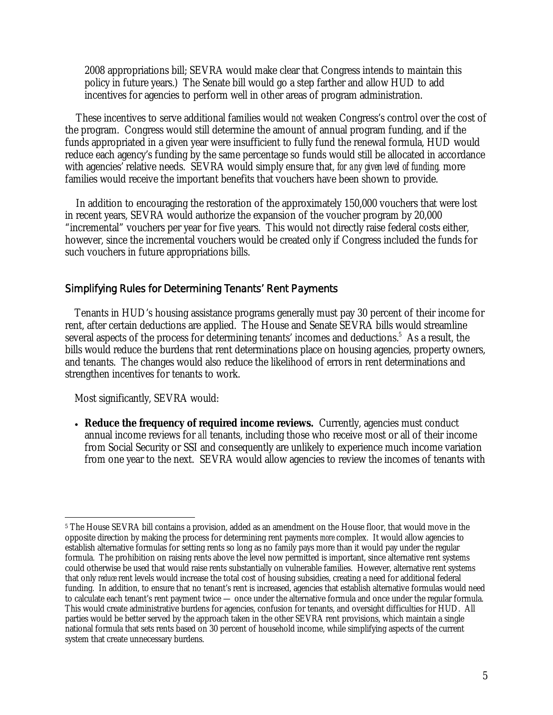2008 appropriations bill; SEVRA would make clear that Congress intends to maintain this policy in future years.) The Senate bill would go a step farther and allow HUD to add incentives for agencies to perform well in other areas of program administration.

These incentives to serve additional families would *not* weaken Congress's control over the cost of the program. Congress would still determine the amount of annual program funding, and if the funds appropriated in a given year were insufficient to fully fund the renewal formula, HUD would reduce each agency's funding by the same percentage so funds would still be allocated in accordance with agencies' relative needs. SEVRA would simply ensure that, *for any given level of funding,* more families would receive the important benefits that vouchers have been shown to provide.

In addition to encouraging the restoration of the approximately 150,000 vouchers that were lost in recent years, SEVRA would authorize the expansion of the voucher program by 20,000 "incremental" vouchers per year for five years. This would not directly raise federal costs either, however, since the incremental vouchers would be created only if Congress included the funds for such vouchers in future appropriations bills.

# Simplifying Rules for Determining Tenants' Rent Payments

Tenants in HUD's housing assistance programs generally must pay 30 percent of their income for rent, after certain deductions are applied. The House and Senate SEVRA bills would streamline several aspects of the process for determining tenants' incomes and deductions.<sup>5</sup> As a result, the bills would reduce the burdens that rent determinations place on housing agencies, property owners, and tenants. The changes would also reduce the likelihood of errors in rent determinations and strengthen incentives for tenants to work.

Most significantly, SEVRA would:

• **Reduce the frequency of required income reviews.** Currently, agencies must conduct annual income reviews for *all* tenants, including those who receive most or all of their income from Social Security or SSI and consequently are unlikely to experience much income variation from one year to the next. SEVRA would allow agencies to review the incomes of tenants with

<sup>-</sup>5 The House SEVRA bill contains a provision, added as an amendment on the House floor, that would move in the opposite direction by making the process for determining rent payments *more* complex. It would allow agencies to establish alternative formulas for setting rents so long as no family pays more than it would pay under the regular formula. The prohibition on raising rents above the level now permitted is important, since alternative rent systems could otherwise be used that would raise rents substantially on vulnerable families. However, alternative rent systems that only *reduce* rent levels would increase the total cost of housing subsidies, creating a need for additional federal funding. In addition, to ensure that no tenant's rent is increased, agencies that establish alternative formulas would need to calculate each tenant's rent payment twice — once under the alternative formula and once under the regular formula. This would create administrative burdens for agencies, confusion for tenants, and oversight difficulties for HUD. All parties would be better served by the approach taken in the other SEVRA rent provisions, which maintain a single national formula that sets rents based on 30 percent of household income, while simplifying aspects of the current system that create unnecessary burdens.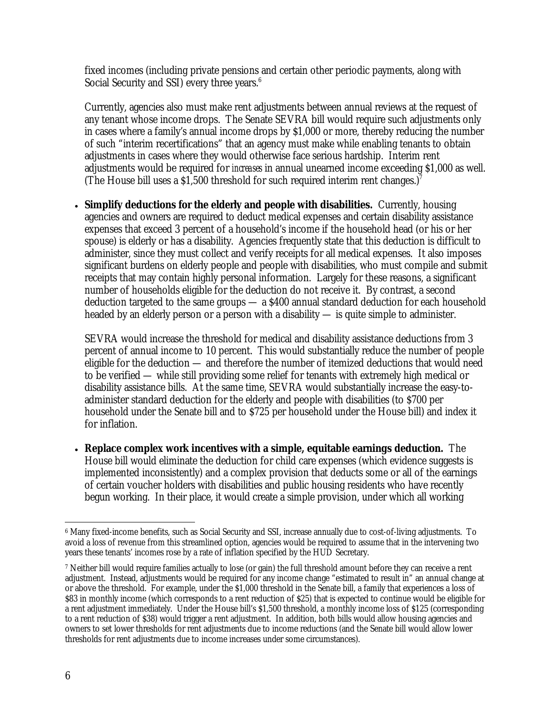fixed incomes (including private pensions and certain other periodic payments, along with Social Security and SSI) every three years.<sup>6</sup>

Currently, agencies also must make rent adjustments between annual reviews at the request of any tenant whose income drops. The Senate SEVRA bill would require such adjustments only in cases where a family's annual income drops by \$1,000 or more, thereby reducing the number of such "interim recertifications" that an agency must make while enabling tenants to obtain adjustments in cases where they would otherwise face serious hardship. Interim rent adjustments would be required for *increases* in annual unearned income exceeding \$1,000 as well. (The House bill uses a \$1,500 threshold for such required interim rent changes.)

• **Simplify deductions for the elderly and people with disabilities.** Currently, housing agencies and owners are required to deduct medical expenses and certain disability assistance expenses that exceed 3 percent of a household's income if the household head (or his or her spouse) is elderly or has a disability. Agencies frequently state that this deduction is difficult to administer, since they must collect and verify receipts for all medical expenses. It also imposes significant burdens on elderly people and people with disabilities, who must compile and submit receipts that may contain highly personal information. Largely for these reasons, a significant number of households eligible for the deduction do not receive it. By contrast, a second deduction targeted to the same groups — a \$400 annual standard deduction for each household headed by an elderly person or a person with a disability — is quite simple to administer.

SEVRA would increase the threshold for medical and disability assistance deductions from 3 percent of annual income to 10 percent. This would substantially reduce the number of people eligible for the deduction — and therefore the number of itemized deductions that would need to be verified — while still providing some relief for tenants with extremely high medical or disability assistance bills. At the same time, SEVRA would substantially increase the easy-toadminister standard deduction for the elderly and people with disabilities (to \$700 per household under the Senate bill and to \$725 per household under the House bill) and index it for inflation.

• **Replace complex work incentives with a simple, equitable earnings deduction.** The House bill would eliminate the deduction for child care expenses (which evidence suggests is implemented inconsistently) and a complex provision that deducts some or all of the earnings of certain voucher holders with disabilities and public housing residents who have recently begun working. In their place, it would create a simple provision, under which all working

 $\overline{a}$ 6 Many fixed-income benefits, such as Social Security and SSI, increase annually due to cost-of-living adjustments. To avoid a loss of revenue from this streamlined option, agencies would be required to assume that in the intervening two years these tenants' incomes rose by a rate of inflation specified by the HUD Secretary.

<sup>7</sup> Neither bill would require families actually to lose (or gain) the full threshold amount before they can receive a rent adjustment. Instead, adjustments would be required for any income change "estimated to result in" an annual change at or above the threshold. For example, under the \$1,000 threshold in the Senate bill, a family that experiences a loss of \$83 in monthly income (which corresponds to a rent reduction of \$25) that is expected to continue would be eligible for a rent adjustment immediately. Under the House bill's \$1,500 threshold, a monthly income loss of \$125 (corresponding to a rent reduction of \$38) would trigger a rent adjustment. In addition, both bills would allow housing agencies and owners to set lower thresholds for rent adjustments due to income reductions (and the Senate bill would allow lower thresholds for rent adjustments due to income increases under some circumstances).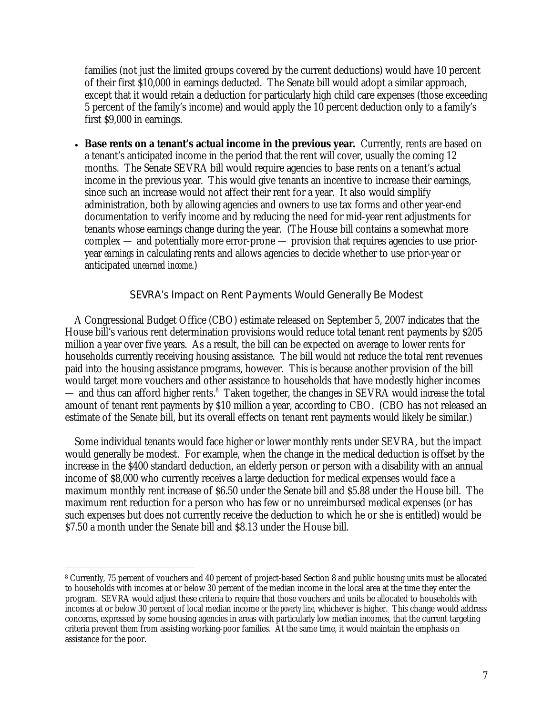families (not just the limited groups covered by the current deductions) would have 10 percent of their first \$10,000 in earnings deducted. The Senate bill would adopt a similar approach, except that it would retain a deduction for particularly high child care expenses (those exceeding 5 percent of the family's income) and would apply the 10 percent deduction only to a family's first \$9,000 in earnings.

**Base rents on a tenant's actual income in the previous year.** Currently, rents are based on a tenant's anticipated income in the period that the rent will cover, usually the coming 12 months. The Senate SEVRA bill would require agencies to base rents on a tenant's actual income in the previous year. This would give tenants an incentive to increase their earnings, since such an increase would not affect their rent for a year. It also would simplify administration, both by allowing agencies and owners to use tax forms and other year-end documentation to verify income and by reducing the need for mid-year rent adjustments for tenants whose earnings change during the year. (The House bill contains a somewhat more complex — and potentially more error-prone — provision that requires agencies to use prioryear *earnings* in calculating rents and allows agencies to decide whether to use prior-year or anticipated *unearned income*.)

# SEVRA's Impact on Rent Payments Would Generally Be Modest

A Congressional Budget Office (CBO) estimate released on September 5, 2007 indicates that the House bill's various rent determination provisions would reduce total tenant rent payments by \$205 million a year over five years. As a result, the bill can be expected on average to lower rents for households currently receiving housing assistance. The bill would *not* reduce the total rent revenues paid into the housing assistance programs, however. This is because another provision of the bill would target more vouchers and other assistance to households that have modestly higher incomes — and thus can afford higher rents.<sup>8</sup> Taken together, the changes in SEVRA would *increase* the total amount of tenant rent payments by \$10 million a year, according to CBO. (CBO has not released an estimate of the Senate bill, but its overall effects on tenant rent payments would likely be similar.)

Some individual tenants would face higher or lower monthly rents under SEVRA, but the impact would generally be modest. For example, when the change in the medical deduction is offset by the increase in the \$400 standard deduction, an elderly person or person with a disability with an annual income of \$8,000 who currently receives a large deduction for medical expenses would face a maximum monthly rent increase of \$6.50 under the Senate bill and \$5.88 under the House bill. The maximum rent reduction for a person who has few or no unreimbursed medical expenses (or has such expenses but does not currently receive the deduction to which he or she is entitled) would be \$7.50 a month under the Senate bill and \$8.13 under the House bill.

 $\overline{a}$ 

<sup>8</sup> Currently, 75 percent of vouchers and 40 percent of project-based Section 8 and public housing units must be allocated to households with incomes at or below 30 percent of the median income in the local area at the time they enter the program. SEVRA would adjust these criteria to require that those vouchers and units be allocated to households with incomes at or below 30 percent of local median income *or the poverty line,* whichever is higher. This change would address concerns, expressed by some housing agencies in areas with particularly low median incomes, that the current targeting criteria prevent them from assisting working-poor families. At the same time, it would maintain the emphasis on assistance for the poor.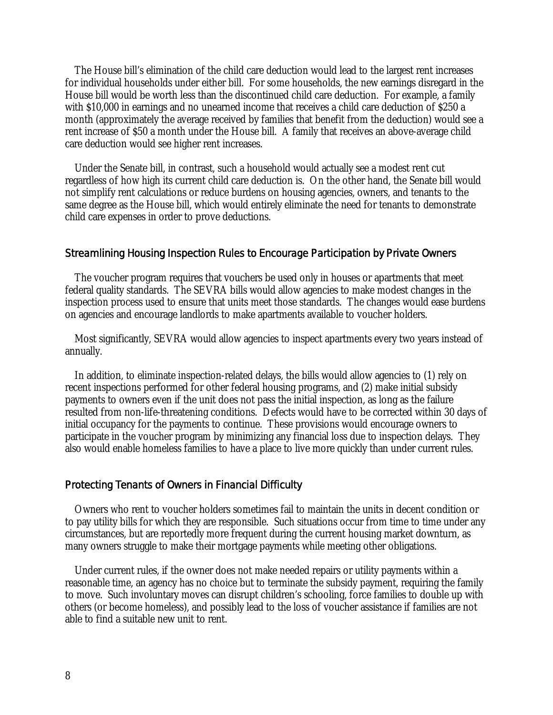The House bill's elimination of the child care deduction would lead to the largest rent increases for individual households under either bill. For some households, the new earnings disregard in the House bill would be worth less than the discontinued child care deduction. For example, a family with \$10,000 in earnings and no unearned income that receives a child care deduction of \$250 a month (approximately the average received by families that benefit from the deduction) would see a rent increase of \$50 a month under the House bill. A family that receives an above-average child care deduction would see higher rent increases.

Under the Senate bill, in contrast, such a household would actually see a modest rent cut regardless of how high its current child care deduction is. On the other hand, the Senate bill would not simplify rent calculations or reduce burdens on housing agencies, owners, and tenants to the same degree as the House bill, which would entirely eliminate the need for tenants to demonstrate child care expenses in order to prove deductions.

# Streamlining Housing Inspection Rules to Encourage Participation by Private Owners

The voucher program requires that vouchers be used only in houses or apartments that meet federal quality standards. The SEVRA bills would allow agencies to make modest changes in the inspection process used to ensure that units meet those standards. The changes would ease burdens on agencies and encourage landlords to make apartments available to voucher holders.

Most significantly, SEVRA would allow agencies to inspect apartments every two years instead of annually.

In addition, to eliminate inspection-related delays, the bills would allow agencies to (1) rely on recent inspections performed for other federal housing programs, and (2) make initial subsidy payments to owners even if the unit does not pass the initial inspection, as long as the failure resulted from non-life-threatening conditions. Defects would have to be corrected within 30 days of initial occupancy for the payments to continue. These provisions would encourage owners to participate in the voucher program by minimizing any financial loss due to inspection delays. They also would enable homeless families to have a place to live more quickly than under current rules.

#### Protecting Tenants of Owners in Financial Difficulty

Owners who rent to voucher holders sometimes fail to maintain the units in decent condition or to pay utility bills for which they are responsible. Such situations occur from time to time under any circumstances, but are reportedly more frequent during the current housing market downturn, as many owners struggle to make their mortgage payments while meeting other obligations.

Under current rules, if the owner does not make needed repairs or utility payments within a reasonable time, an agency has no choice but to terminate the subsidy payment, requiring the family to move. Such involuntary moves can disrupt children's schooling, force families to double up with others (or become homeless), and possibly lead to the loss of voucher assistance if families are not able to find a suitable new unit to rent.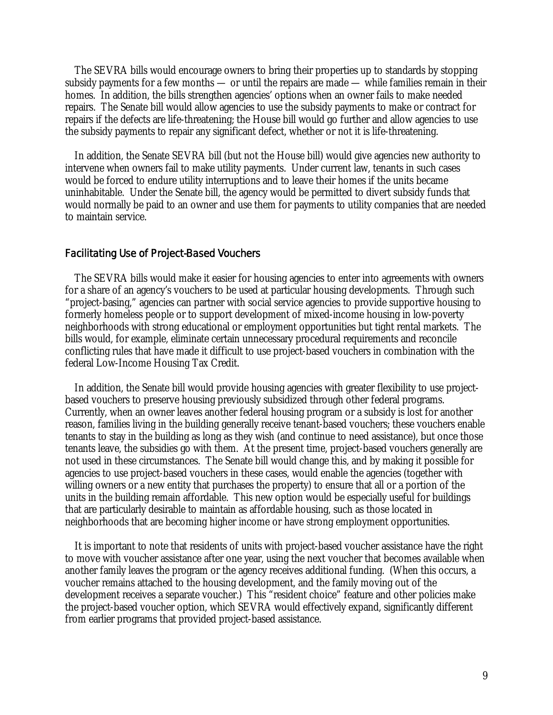The SEVRA bills would encourage owners to bring their properties up to standards by stopping subsidy payments for a few months — or until the repairs are made — while families remain in their homes. In addition, the bills strengthen agencies' options when an owner fails to make needed repairs. The Senate bill would allow agencies to use the subsidy payments to make or contract for repairs if the defects are life-threatening; the House bill would go further and allow agencies to use the subsidy payments to repair any significant defect, whether or not it is life-threatening.

In addition, the Senate SEVRA bill (but not the House bill) would give agencies new authority to intervene when owners fail to make utility payments. Under current law, tenants in such cases would be forced to endure utility interruptions and to leave their homes if the units became uninhabitable. Under the Senate bill, the agency would be permitted to divert subsidy funds that would normally be paid to an owner and use them for payments to utility companies that are needed to maintain service.

### Facilitating Use of Project-Based Vouchers

The SEVRA bills would make it easier for housing agencies to enter into agreements with owners for a share of an agency's vouchers to be used at particular housing developments. Through such "project-basing," agencies can partner with social service agencies to provide supportive housing to formerly homeless people or to support development of mixed-income housing in low-poverty neighborhoods with strong educational or employment opportunities but tight rental markets. The bills would, for example, eliminate certain unnecessary procedural requirements and reconcile conflicting rules that have made it difficult to use project-based vouchers in combination with the federal Low-Income Housing Tax Credit.

In addition, the Senate bill would provide housing agencies with greater flexibility to use projectbased vouchers to preserve housing previously subsidized through other federal programs. Currently, when an owner leaves another federal housing program or a subsidy is lost for another reason, families living in the building generally receive tenant-based vouchers; these vouchers enable tenants to stay in the building as long as they wish (and continue to need assistance), but once those tenants leave, the subsidies go with them. At the present time, project-based vouchers generally are not used in these circumstances. The Senate bill would change this, and by making it possible for agencies to use project-based vouchers in these cases, would enable the agencies (together with willing owners or a new entity that purchases the property) to ensure that all or a portion of the units in the building remain affordable. This new option would be especially useful for buildings that are particularly desirable to maintain as affordable housing, such as those located in neighborhoods that are becoming higher income or have strong employment opportunities.

It is important to note that residents of units with project-based voucher assistance have the right to move with voucher assistance after one year, using the next voucher that becomes available when another family leaves the program or the agency receives additional funding. (When this occurs, a voucher remains attached to the housing development, and the family moving out of the development receives a separate voucher.) This "resident choice" feature and other policies make the project-based voucher option, which SEVRA would effectively expand, significantly different from earlier programs that provided project-based assistance.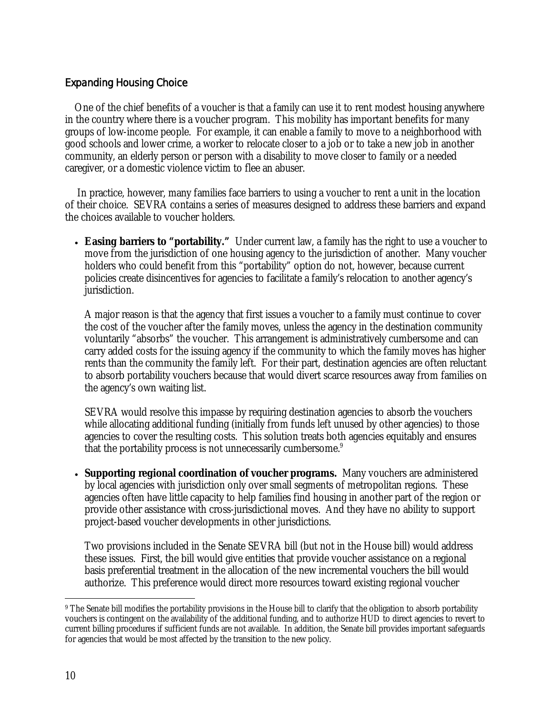# Expanding Housing Choice

One of the chief benefits of a voucher is that a family can use it to rent modest housing anywhere in the country where there is a voucher program. This mobility has important benefits for many groups of low-income people. For example, it can enable a family to move to a neighborhood with good schools and lower crime, a worker to relocate closer to a job or to take a new job in another community, an elderly person or person with a disability to move closer to family or a needed caregiver, or a domestic violence victim to flee an abuser.

 In practice, however, many families face barriers to using a voucher to rent a unit in the location of their choice. SEVRA contains a series of measures designed to address these barriers and expand the choices available to voucher holders.

• **Easing barriers to "portability."** Under current law, a family has the right to use a voucher to move from the jurisdiction of one housing agency to the jurisdiction of another. Many voucher holders who could benefit from this "portability" option do not, however, because current policies create disincentives for agencies to facilitate a family's relocation to another agency's jurisdiction.

A major reason is that the agency that first issues a voucher to a family must continue to cover the cost of the voucher after the family moves, unless the agency in the destination community voluntarily "absorbs" the voucher. This arrangement is administratively cumbersome and can carry added costs for the issuing agency if the community to which the family moves has higher rents than the community the family left. For their part, destination agencies are often reluctant to absorb portability vouchers because that would divert scarce resources away from families on the agency's own waiting list.

SEVRA would resolve this impasse by requiring destination agencies to absorb the vouchers while allocating additional funding (initially from funds left unused by other agencies) to those agencies to cover the resulting costs. This solution treats both agencies equitably and ensures that the portability process is not unnecessarily cumbersome.<sup>9</sup>

• **Supporting regional coordination of voucher programs.** Many vouchers are administered by local agencies with jurisdiction only over small segments of metropolitan regions. These agencies often have little capacity to help families find housing in another part of the region or provide other assistance with cross-jurisdictional moves. And they have no ability to support project-based voucher developments in other jurisdictions.

Two provisions included in the Senate SEVRA bill (but not in the House bill) would address these issues. First, the bill would give entities that provide voucher assistance on a regional basis preferential treatment in the allocation of the new incremental vouchers the bill would authorize. This preference would direct more resources toward existing regional voucher

 $\overline{a}$ <sup>9</sup> The Senate bill modifies the portability provisions in the House bill to clarify that the obligation to absorb portability vouchers is contingent on the availability of the additional funding, and to authorize HUD to direct agencies to revert to current billing procedures if sufficient funds are not available. In addition, the Senate bill provides important safeguards for agencies that would be most affected by the transition to the new policy.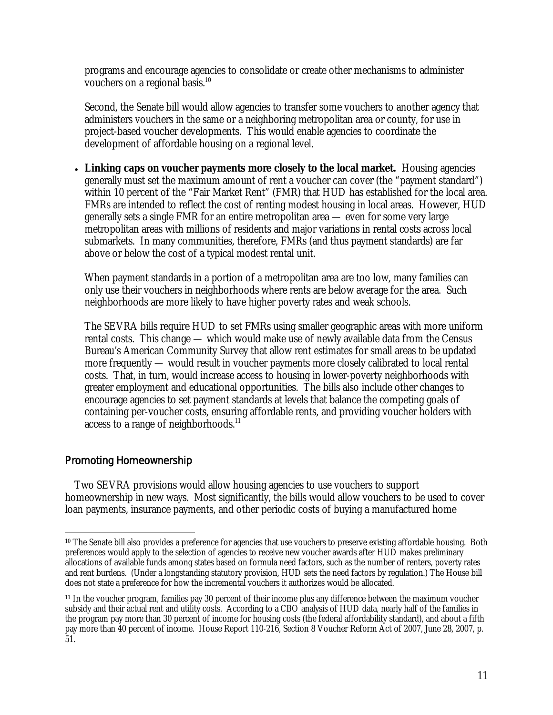programs and encourage agencies to consolidate or create other mechanisms to administer vouchers on a regional basis.<sup>10</sup>

Second, the Senate bill would allow agencies to transfer some vouchers to another agency that administers vouchers in the same or a neighboring metropolitan area or county, for use in project-based voucher developments. This would enable agencies to coordinate the development of affordable housing on a regional level.

• **Linking caps on voucher payments more closely to the local market.** Housing agencies generally must set the maximum amount of rent a voucher can cover (the "payment standard") within 10 percent of the "Fair Market Rent" (FMR) that HUD has established for the local area. FMRs are intended to reflect the cost of renting modest housing in local areas. However, HUD generally sets a single FMR for an entire metropolitan area — even for some very large metropolitan areas with millions of residents and major variations in rental costs across local submarkets. In many communities, therefore, FMRs (and thus payment standards) are far above or below the cost of a typical modest rental unit.

When payment standards in a portion of a metropolitan area are too low, many families can only use their vouchers in neighborhoods where rents are below average for the area. Such neighborhoods are more likely to have higher poverty rates and weak schools.

The SEVRA bills require HUD to set FMRs using smaller geographic areas with more uniform rental costs. This change — which would make use of newly available data from the Census Bureau's American Community Survey that allow rent estimates for small areas to be updated more frequently — would result in voucher payments more closely calibrated to local rental costs. That, in turn, would increase access to housing in lower-poverty neighborhoods with greater employment and educational opportunities. The bills also include other changes to encourage agencies to set payment standards at levels that balance the competing goals of containing per-voucher costs, ensuring affordable rents, and providing voucher holders with access to a range of neighborhoods. $11$ 

# Promoting Homeownership

Two SEVRA provisions would allow housing agencies to use vouchers to support homeownership in new ways. Most significantly, the bills would allow vouchers to be used to cover loan payments, insurance payments, and other periodic costs of buying a manufactured home

 $\overline{a}$ <sup>10</sup> The Senate bill also provides a preference for agencies that use vouchers to preserve existing affordable housing. Both preferences would apply to the selection of agencies to receive new voucher awards after HUD makes preliminary allocations of available funds among states based on formula need factors, such as the number of renters, poverty rates and rent burdens. (Under a longstanding statutory provision, HUD sets the need factors by regulation.) The House bill does not state a preference for how the incremental vouchers it authorizes would be allocated.

<sup>11</sup> In the voucher program, families pay 30 percent of their income plus any difference between the maximum voucher subsidy and their actual rent and utility costs. According to a CBO analysis of HUD data, nearly half of the families in the program pay more than 30 percent of income for housing costs (the federal affordability standard), and about a fifth pay more than 40 percent of income. House Report 110-216, Section 8 Voucher Reform Act of 2007, June 28, 2007, p. 51.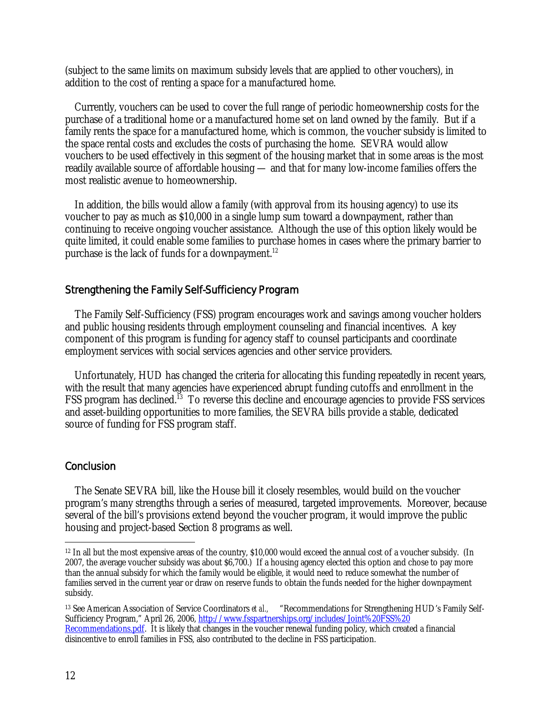(subject to the same limits on maximum subsidy levels that are applied to other vouchers), in addition to the cost of renting a space for a manufactured home.

Currently, vouchers can be used to cover the full range of periodic homeownership costs for the purchase of a traditional home or a manufactured home set on land owned by the family. But if a family rents the space for a manufactured home, which is common, the voucher subsidy is limited to the space rental costs and excludes the costs of purchasing the home. SEVRA would allow vouchers to be used effectively in this segment of the housing market that in some areas is the most readily available source of affordable housing — and that for many low-income families offers the most realistic avenue to homeownership.

In addition, the bills would allow a family (with approval from its housing agency) to use its voucher to pay as much as \$10,000 in a single lump sum toward a downpayment, rather than continuing to receive ongoing voucher assistance. Although the use of this option likely would be quite limited, it could enable some families to purchase homes in cases where the primary barrier to purchase is the lack of funds for a downpayment.<sup>12</sup>

# Strengthening the Family Self-Sufficiency Program

The Family Self-Sufficiency (FSS) program encourages work and savings among voucher holders and public housing residents through employment counseling and financial incentives. A key component of this program is funding for agency staff to counsel participants and coordinate employment services with social services agencies and other service providers.

Unfortunately, HUD has changed the criteria for allocating this funding repeatedly in recent years, with the result that many agencies have experienced abrupt funding cutoffs and enrollment in the FSS program has declined.<sup>13</sup> To reverse this decline and encourage agencies to provide FSS services and asset-building opportunities to more families, the SEVRA bills provide a stable, dedicated source of funding for FSS program staff.

# **Conclusion**

 The Senate SEVRA bill, like the House bill it closely resembles, would build on the voucher program's many strengths through a series of measured, targeted improvements. Moreover, because several of the bill's provisions extend beyond the voucher program, it would improve the public housing and project-based Section 8 programs as well.

-

<sup>&</sup>lt;sup>12</sup> In all but the most expensive areas of the country, \$10,000 would exceed the annual cost of a voucher subsidy. (In 2007, the average voucher subsidy was about \$6,700.) If a housing agency elected this option and chose to pay more than the annual subsidy for which the family would be eligible, it would need to reduce somewhat the number of families served in the current year or draw on reserve funds to obtain the funds needed for the higher downpayment subsidy.

<sup>&</sup>lt;sup>13</sup> See American Association of Service Coordinators *et al.,* "Recommendations for Strengthening HUD's Family Self-Sufficiency Program," April 26, 2006, http://www.fsspartnerships.org/includes/Joint%20FSS%20 Recommendations.pdf. It is likely that changes in the voucher renewal funding policy, which created a financial disincentive to enroll families in FSS, also contributed to the decline in FSS participation.